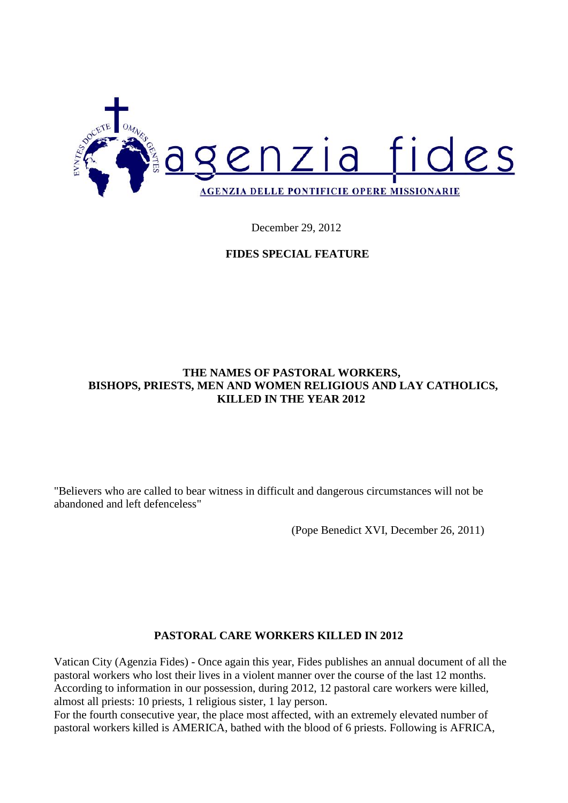

December 29, 2012

### **FIDES SPECIAL FEATURE**

### **THE NAMES OF PASTORAL WORKERS, BISHOPS, PRIESTS, MEN AND WOMEN RELIGIOUS AND LAY CATHOLICS, KILLED IN THE YEAR 2012**

"Believers who are called to bear witness in difficult and dangerous circumstances will not be abandoned and left defenceless"

(Pope Benedict XVI, December 26, 2011)

#### **PASTORAL CARE WORKERS KILLED IN 2012**

Vatican City (Agenzia Fides) - Once again this year, Fides publishes an annual document of all the pastoral workers who lost their lives in a violent manner over the course of the last 12 months. According to information in our possession, during 2012, 12 pastoral care workers were killed, almost all priests: 10 priests, 1 religious sister, 1 lay person.

For the fourth consecutive year, the place most affected, with an extremely elevated number of pastoral workers killed is AMERICA, bathed with the blood of 6 priests. Following is AFRICA,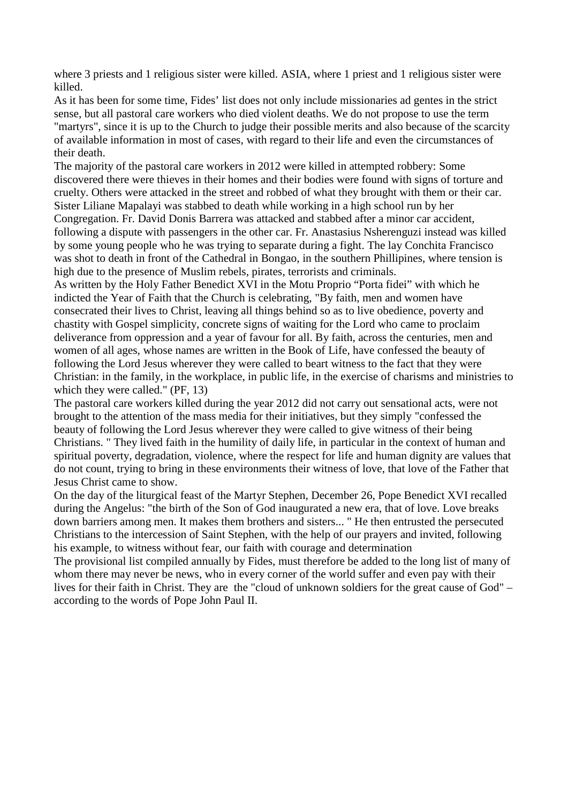where 3 priests and 1 religious sister were killed. ASIA, where 1 priest and 1 religious sister were killed.

As it has been for some time, Fides' list does not only include missionaries ad gentes in the strict sense, but all pastoral care workers who died violent deaths. We do not propose to use the term "martyrs", since it is up to the Church to judge their possible merits and also because of the scarcity of available information in most of cases, with regard to their life and even the circumstances of their death.

The majority of the pastoral care workers in 2012 were killed in attempted robbery: Some discovered there were thieves in their homes and their bodies were found with signs of torture and cruelty. Others were attacked in the street and robbed of what they brought with them or their car. Sister Liliane Mapalayi was stabbed to death while working in a high school run by her Congregation. Fr. David Donis Barrera was attacked and stabbed after a minor car accident, following a dispute with passengers in the other car. Fr. Anastasius Nsherenguzi instead was killed by some young people who he was trying to separate during a fight. The lay Conchita Francisco was shot to death in front of the Cathedral in Bongao, in the southern Phillipines, where tension is high due to the presence of Muslim rebels, pirates, terrorists and criminals.

As written by the Holy Father Benedict XVI in the Motu Proprio "Porta fidei" with which he indicted the Year of Faith that the Church is celebrating, "By faith, men and women have consecrated their lives to Christ, leaving all things behind so as to live obedience, poverty and chastity with Gospel simplicity, concrete signs of waiting for the Lord who came to proclaim deliverance from oppression and a year of favour for all. By faith, across the centuries, men and women of all ages, whose names are written in the Book of Life, have confessed the beauty of following the Lord Jesus wherever they were called to beart witness to the fact that they were Christian: in the family, in the workplace, in public life, in the exercise of charisms and ministries to which they were called." (PF, 13)

The pastoral care workers killed during the year 2012 did not carry out sensational acts, were not brought to the attention of the mass media for their initiatives, but they simply "confessed the beauty of following the Lord Jesus wherever they were called to give witness of their being Christians. " They lived faith in the humility of daily life, in particular in the context of human and spiritual poverty, degradation, violence, where the respect for life and human dignity are values that do not count, trying to bring in these environments their witness of love, that love of the Father that Jesus Christ came to show.

On the day of the liturgical feast of the Martyr Stephen, December 26, Pope Benedict XVI recalled during the Angelus: "the birth of the Son of God inaugurated a new era, that of love. Love breaks down barriers among men. It makes them brothers and sisters... " He then entrusted the persecuted Christians to the intercession of Saint Stephen, with the help of our prayers and invited, following his example, to witness without fear, our faith with courage and determination

The provisional list compiled annually by Fides, must therefore be added to the long list of many of whom there may never be news, who in every corner of the world suffer and even pay with their lives for their faith in Christ. They are the "cloud of unknown soldiers for the great cause of God" – according to the words of Pope John Paul II.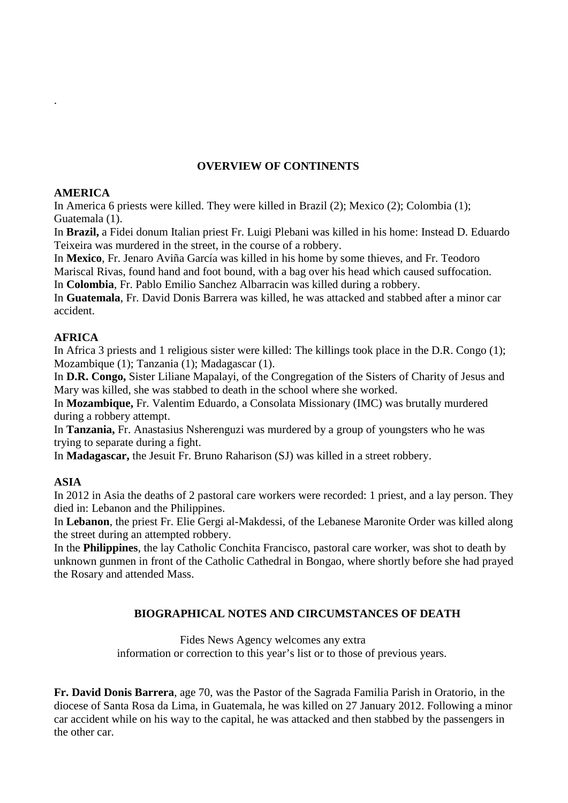## **OVERVIEW OF CONTINENTS**

#### **AMERICA**

.

In America 6 priests were killed. They were killed in Brazil (2); Mexico (2); Colombia (1); Guatemala (1).

In **Brazil,** a Fidei donum Italian priest Fr. Luigi Plebani was killed in his home: Instead D. Eduardo Teixeira was murdered in the street, in the course of a robbery.

In **Mexico**, Fr. Jenaro Aviña García was killed in his home by some thieves, and Fr. Teodoro Mariscal Rivas, found hand and foot bound, with a bag over his head which caused suffocation.

In **Colombia**, Fr. Pablo Emilio Sanchez Albarracin was killed during a robbery.

In **Guatemala**, Fr. David Donis Barrera was killed, he was attacked and stabbed after a minor car accident.

### **AFRICA**

In Africa 3 priests and 1 religious sister were killed: The killings took place in the D.R. Congo (1); Mozambique (1); Tanzania (1); Madagascar (1).

In **D.R. Congo,** Sister Liliane Mapalayi, of the Congregation of the Sisters of Charity of Jesus and Mary was killed, she was stabbed to death in the school where she worked.

In **Mozambique,** Fr. Valentim Eduardo, a Consolata Missionary (IMC) was brutally murdered during a robbery attempt.

In **Tanzania,** Fr. Anastasius Nsherenguzi was murdered by a group of youngsters who he was trying to separate during a fight.

In **Madagascar,** the Jesuit Fr. Bruno Raharison (SJ) was killed in a street robbery.

### **ASIA**

In 2012 in Asia the deaths of 2 pastoral care workers were recorded: 1 priest, and a lay person. They died in: Lebanon and the Philippines.

In **Lebanon**, the priest Fr. Elie Gergi al-Makdessi, of the Lebanese Maronite Order was killed along the street during an attempted robbery.

In the **Philippines**, the lay Catholic Conchita Francisco, pastoral care worker, was shot to death by unknown gunmen in front of the Catholic Cathedral in Bongao, where shortly before she had prayed the Rosary and attended Mass.

### **BIOGRAPHICAL NOTES AND CIRCUMSTANCES OF DEATH**

Fides News Agency welcomes any extra information or correction to this year's list or to those of previous years.

**Fr. David Donis Barrera**, age 70, was the Pastor of the Sagrada Familia Parish in Oratorio, in the diocese of Santa Rosa da Lima, in Guatemala, he was killed on 27 January 2012. Following a minor car accident while on his way to the capital, he was attacked and then stabbed by the passengers in the other car.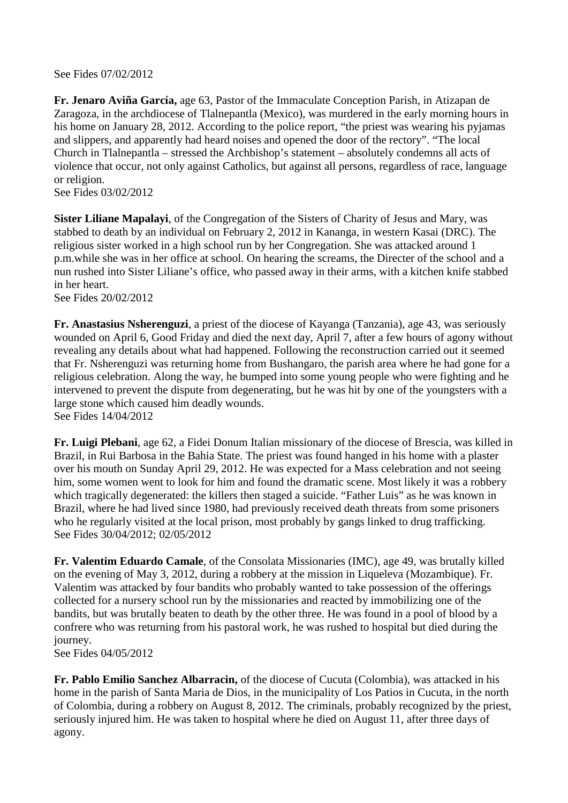See Fides 07/02/2012

**Fr. Jenaro Aviña García,** age 63, Pastor of the Immaculate Conception Parish, in Atizapan de Zaragoza, in the archdiocese of Tlalnepantla (Mexico), was murdered in the early morning hours in his home on January 28, 2012. According to the police report, "the priest was wearing his pyjamas and slippers, and apparently had heard noises and opened the door of the rectory". "The local Church in Tlalnepantla – stressed the Archbishop's statement – absolutely condemns all acts of violence that occur, not only against Catholics, but against all persons, regardless of race, language or religion.

See Fides 03/02/2012

**Sister Liliane Mapalayi**, of the Congregation of the Sisters of Charity of Jesus and Mary, was stabbed to death by an individual on February 2, 2012 in Kananga, in western Kasai (DRC). The religious sister worked in a high school run by her Congregation. She was attacked around 1 p.m.while she was in her office at school. On hearing the screams, the Directer of the school and a nun rushed into Sister Liliane's office, who passed away in their arms, with a kitchen knife stabbed in her heart.

See Fides 20/02/2012

**Fr. Anastasius Nsherenguzi**, a priest of the diocese of Kayanga (Tanzania), age 43, was seriously wounded on April 6, Good Friday and died the next day, April 7, after a few hours of agony without revealing any details about what had happened. Following the reconstruction carried out it seemed that Fr. Nsherenguzi was returning home from Bushangaro, the parish area where he had gone for a religious celebration. Along the way, he bumped into some young people who were fighting and he intervened to prevent the dispute from degenerating, but he was hit by one of the youngsters with a large stone which caused him deadly wounds. See Fides 14/04/2012

**Fr. Luigi Plebani**, age 62, a Fidei Donum Italian missionary of the diocese of Brescia, was killed in Brazil, in Rui Barbosa in the Bahia State. The priest was found hanged in his home with a plaster over his mouth on Sunday April 29, 2012. He was expected for a Mass celebration and not seeing him, some women went to look for him and found the dramatic scene. Most likely it was a robbery which tragically degenerated: the killers then staged a suicide. "Father Luis" as he was known in Brazil, where he had lived since 1980, had previously received death threats from some prisoners who he regularly visited at the local prison, most probably by gangs linked to drug trafficking. See Fides 30/04/2012; 02/05/2012

**Fr. Valentim Eduardo Camale**, of the Consolata Missionaries (IMC), age 49, was brutally killed on the evening of May 3, 2012, during a robbery at the mission in Liqueleva (Mozambique). Fr. Valentim was attacked by four bandits who probably wanted to take possession of the offerings collected for a nursery school run by the missionaries and reacted by immobilizing one of the bandits, but was brutally beaten to death by the other three. He was found in a pool of blood by a confrere who was returning from his pastoral work, he was rushed to hospital but died during the journey.

See Fides 04/05/2012

**Fr. Pablo Emilio Sanchez Albarracin,** of the diocese of Cucuta (Colombia), was attacked in his home in the parish of Santa Maria de Dios, in the municipality of Los Patios in Cucuta, in the north of Colombia, during a robbery on August 8, 2012. The criminals, probably recognized by the priest, seriously injured him. He was taken to hospital where he died on August 11, after three days of agony.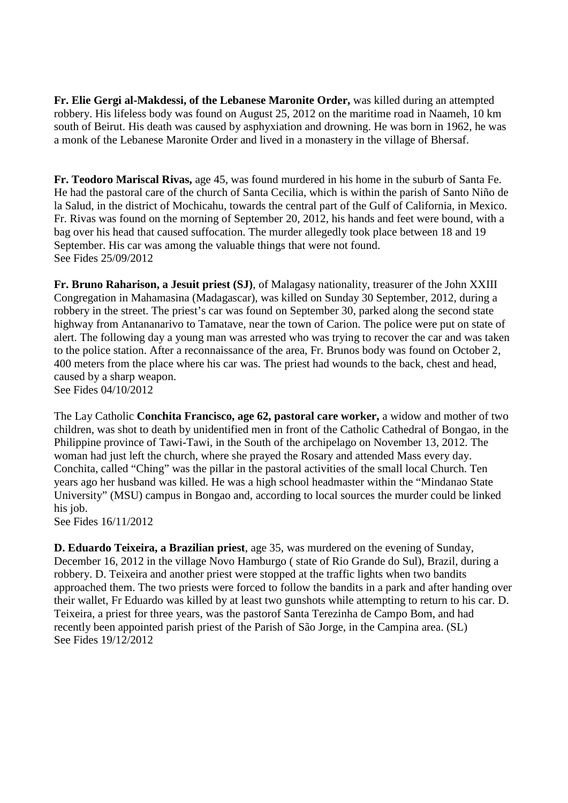**Fr. Elie Gergi al-Makdessi, of the Lebanese Maronite Order,** was killed during an attempted robbery. His lifeless body was found on August 25, 2012 on the maritime road in Naameh, 10 km south of Beirut. His death was caused by asphyxiation and drowning. He was born in 1962, he was a monk of the Lebanese Maronite Order and lived in a monastery in the village of Bhersaf.

**Fr. Teodoro Mariscal Rivas,** age 45, was found murdered in his home in the suburb of Santa Fe. He had the pastoral care of the church of Santa Cecilia, which is within the parish of Santo Niño de la Salud, in the district of Mochicahu, towards the central part of the Gulf of California, in Mexico. Fr. Rivas was found on the morning of September 20, 2012, his hands and feet were bound, with a bag over his head that caused suffocation. The murder allegedly took place between 18 and 19 September. His car was among the valuable things that were not found. See Fides 25/09/2012

**Fr. Bruno Raharison, a Jesuit priest (SJ)**, of Malagasy nationality, treasurer of the John XXIII Congregation in Mahamasina (Madagascar), was killed on Sunday 30 September, 2012, during a robbery in the street. The priest's car was found on September 30, parked along the second state highway from Antananarivo to Tamatave, near the town of Carion. The police were put on state of alert. The following day a young man was arrested who was trying to recover the car and was taken to the police station. After a reconnaissance of the area, Fr. Brunos body was found on October 2, 400 meters from the place where his car was. The priest had wounds to the back, chest and head, caused by a sharp weapon. See Fides 04/10/2012

The Lay Catholic **Conchita Francisco, age 62, pastoral care worker,** a widow and mother of two children, was shot to death by unidentified men in front of the Catholic Cathedral of Bongao, in the Philippine province of Tawi-Tawi, in the South of the archipelago on November 13, 2012. The woman had just left the church, where she prayed the Rosary and attended Mass every day. Conchita, called "Ching" was the pillar in the pastoral activities of the small local Church. Ten years ago her husband was killed. He was a high school headmaster within the "Mindanao State University" (MSU) campus in Bongao and, according to local sources the murder could be linked his job.

See Fides 16/11/2012

**D. Eduardo Teixeira, a Brazilian priest**, age 35, was murdered on the evening of Sunday, December 16, 2012 in the village Novo Hamburgo ( state of Rio Grande do Sul), Brazil, during a robbery. D. Teixeira and another priest were stopped at the traffic lights when two bandits approached them. The two priests were forced to follow the bandits in a park and after handing over their wallet, Fr Eduardo was killed by at least two gunshots while attempting to return to his car. D. Teixeira, a priest for three years, was the pastorof Santa Terezinha de Campo Bom, and had recently been appointed parish priest of the Parish of São Jorge, in the Campina area. (SL) See Fides 19/12/2012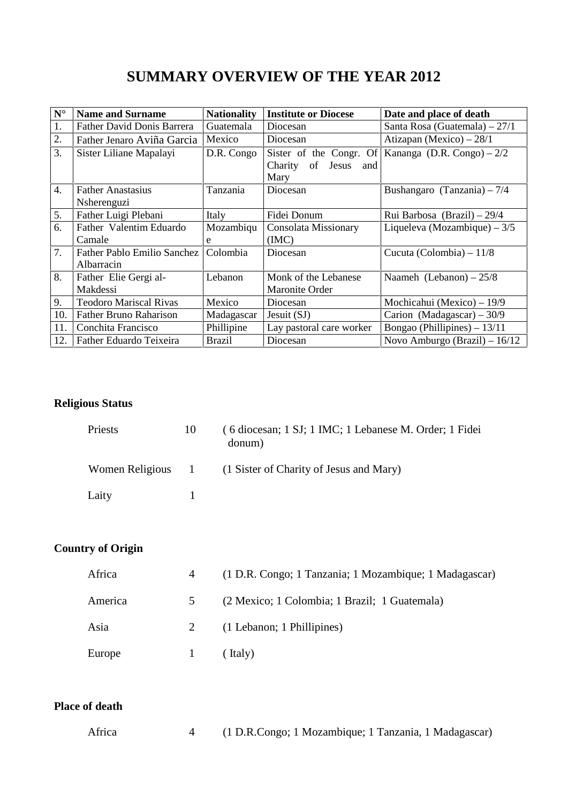| $\mathbf{N}^\circ$ | <b>Name and Surname</b>                          | <b>Nationality</b> | <b>Institute or Diocese</b>                                      | Date and place of death        |
|--------------------|--------------------------------------------------|--------------------|------------------------------------------------------------------|--------------------------------|
| 1.                 | <b>Father David Donis Barrera</b>                | Guatemala          | Diocesan                                                         | Santa Rosa (Guatemala) – 27/1  |
| 2.                 | Father Jenaro Aviña Garcia                       | Mexico             | Diocesan                                                         | Atizapan (Mexico) $-28/1$      |
| 3.                 | Sister Liliane Mapalayi                          | D.R. Congo         | Sister of the Congr. Of<br>of<br>Jesus<br>Charity<br>and<br>Mary | Kananga (D.R. Congo) $-2/2$    |
| $\overline{4}$ .   | <b>Father Anastasius</b><br>Nsherenguzi          | Tanzania           | Diocesan                                                         | Bushangaro (Tanzania) - $7/4$  |
| 5.                 | Father Luigi Plebani                             | Italy              | Fidei Donum                                                      | Rui Barbosa (Brazil) – 29/4    |
| 6.                 | Father Valentim Eduardo<br>Camale                | Mozambiqu<br>e     | Consolata Missionary<br>(MC)                                     | Liqueleva (Mozambique) $-3/5$  |
| 7.                 | <b>Father Pablo Emilio Sanchez</b><br>Albarracin | Colombia           | Diocesan                                                         | Cucuta (Colombia) $-11/8$      |
| 8.                 | Father Elie Gergi al-<br>Makdessi                | Lebanon            | Monk of the Lebanese<br>Maronite Order                           | Naameh (Lebanon) $-25/8$       |
| 9.                 | <b>Teodoro Mariscal Rivas</b>                    | Mexico             | Diocesan                                                         | Mochicahui (Mexico) $-19/9$    |
| 10.                | <b>Father Bruno Raharison</b>                    | Madagascar         | Jesuit $(SJ)$                                                    | Carion (Madagascar) $-30/9$    |
| 11.                | Conchita Francisco                               | Phillipine         | Lay pastoral care worker                                         | Bongao (Phillipines) $-13/11$  |
| 12.                | Father Eduardo Teixeira                          | <b>Brazil</b>      | Diocesan                                                         | Novo Amburgo (Brazil) $-16/12$ |

# **Religious Status**

| Priests           | 10 | (6 diocesan; 1 SJ; 1 IMC; 1 Lebanese M. Order; 1 Fidei<br>donum) |
|-------------------|----|------------------------------------------------------------------|
| Women Religious 1 |    | (1 Sister of Charity of Jesus and Mary)                          |
| Laity             |    |                                                                  |

# **Country of Origin**

| Africa  |             | (1 D.R. Congo; 1 Tanzania; 1 Mozambique; 1 Madagascar) |
|---------|-------------|--------------------------------------------------------|
| America | $5^{\circ}$ | (2 Mexico; 1 Colombia; 1 Brazil; 1 Guatemala)          |
| Asia    |             | (1 Lebanon; 1 Phillipines)                             |
| Europe  |             | (Italy)                                                |

## **Place of death**

| Africa |  |  | (1 D.R.Congo; 1 Mozambique; 1 Tanzania, 1 Madagascar) |  |  |
|--------|--|--|-------------------------------------------------------|--|--|
|--------|--|--|-------------------------------------------------------|--|--|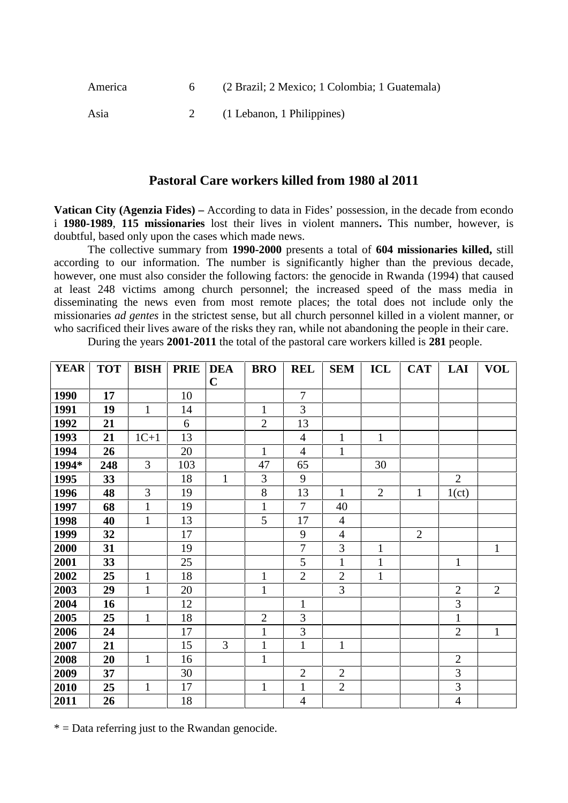| (2 Brazil; 2 Mexico; 1 Colombia; 1 Guatemala)<br>America |  |
|----------------------------------------------------------|--|
|----------------------------------------------------------|--|

Asia 2 (1 Lebanon, 1 Philippines)

#### **Pastoral Care workers killed from 1980 al 2011**

**Vatican City (Agenzia Fides) –** According to data in Fides' possession, in the decade from econdo i **1980-1989**, **115 missionaries** lost their lives in violent manners**.** This number, however, is doubtful, based only upon the cases which made news.

The collective summary from **1990-2000** presents a total of **604 missionaries killed,** still according to our information. The number is significantly higher than the previous decade, however, one must also consider the following factors: the genocide in Rwanda (1994) that caused at least 248 victims among church personnel; the increased speed of the mass media in disseminating the news even from most remote places; the total does not include only the missionaries *ad gentes* in the strictest sense, but all church personnel killed in a violent manner, or who sacrificed their lives aware of the risks they ran, while not abandoning the people in their care.

| <b>YEAR</b> | <b>TOT</b> | <b>BISH</b>    | <b>PRIE</b> | <b>DEA</b>     | <b>BRO</b>     | <b>REL</b>     | <b>SEM</b>     | ICL            | <b>CAT</b>     | LAI            | <b>VOL</b>     |
|-------------|------------|----------------|-------------|----------------|----------------|----------------|----------------|----------------|----------------|----------------|----------------|
|             |            |                |             | $\mathbf C$    |                |                |                |                |                |                |                |
| 1990        | 17         |                | 10          |                |                | $\overline{7}$ |                |                |                |                |                |
| 1991        | 19         | $\mathbf{1}$   | 14          |                | $\mathbf{1}$   | 3              |                |                |                |                |                |
| 1992        | 21         |                | 6           |                | $\overline{2}$ | 13             |                |                |                |                |                |
| 1993        | 21         | $1C+1$         | 13          |                |                | $\overline{4}$ | $\mathbf{1}$   | $\mathbf{1}$   |                |                |                |
| 1994        | 26         |                | 20          |                | 1              | $\overline{4}$ | $\mathbf{1}$   |                |                |                |                |
| 1994*       | 248        | $\overline{3}$ | 103         |                | 47             | 65             |                | 30             |                |                |                |
| 1995        | 33         |                | 18          | $\mathbf{1}$   | 3              | 9              |                |                |                | $\overline{2}$ |                |
| 1996        | 48         | 3              | 19          |                | 8              | 13             | $\mathbf{1}$   | $\overline{2}$ | $\mathbf{1}$   | 1(ct)          |                |
| 1997        | 68         | $\mathbf{1}$   | 19          |                | 1              | $\overline{7}$ | 40             |                |                |                |                |
| 1998        | 40         | $\mathbf{1}$   | 13          |                | 5              | 17             | $\overline{4}$ |                |                |                |                |
| 1999        | 32         |                | 17          |                |                | 9              | $\overline{4}$ |                | $\overline{2}$ |                |                |
| 2000        | 31         |                | 19          |                |                | $\overline{7}$ | 3              | $\mathbf{1}$   |                |                | $\mathbf{1}$   |
| 2001        | 33         |                | 25          |                |                | 5              | $\mathbf{1}$   | $\mathbf{1}$   |                | $\mathbf{1}$   |                |
| 2002        | 25         | $\mathbf{1}$   | 18          |                | $\mathbf{1}$   | $\overline{2}$ | $\overline{2}$ | $\mathbf{1}$   |                |                |                |
| 2003        | 29         | $\mathbf{1}$   | 20          |                | 1              |                | 3              |                |                | $\overline{2}$ | $\overline{2}$ |
| 2004        | 16         |                | 12          |                |                | $\mathbf{1}$   |                |                |                | 3              |                |
| 2005        | 25         | $\mathbf{1}$   | 18          |                | $\overline{2}$ | 3              |                |                |                | 1              |                |
| 2006        | 24         |                | 17          |                | 1              | 3              |                |                |                | $\overline{2}$ | $\mathbf{1}$   |
| 2007        | 21         |                | 15          | $\overline{3}$ | $\mathbf{1}$   | $\mathbf{1}$   | $\mathbf{1}$   |                |                |                |                |
| 2008        | 20         | $\mathbf{1}$   | 16          |                | $\mathbf{1}$   |                |                |                |                | $\overline{2}$ |                |
| 2009        | 37         |                | 30          |                |                | $\overline{2}$ | $\overline{2}$ |                |                | 3              |                |
| 2010        | 25         | $\mathbf{1}$   | 17          |                | $\mathbf{1}$   | $\mathbf{1}$   | $\overline{2}$ |                |                | 3              |                |
| 2011        | 26         |                | 18          |                |                | $\overline{4}$ |                |                |                | $\overline{4}$ |                |

During the years **2001-2011** the total of the pastoral care workers killed is **281** people.

 $* =$  Data referring just to the Rwandan genocide.